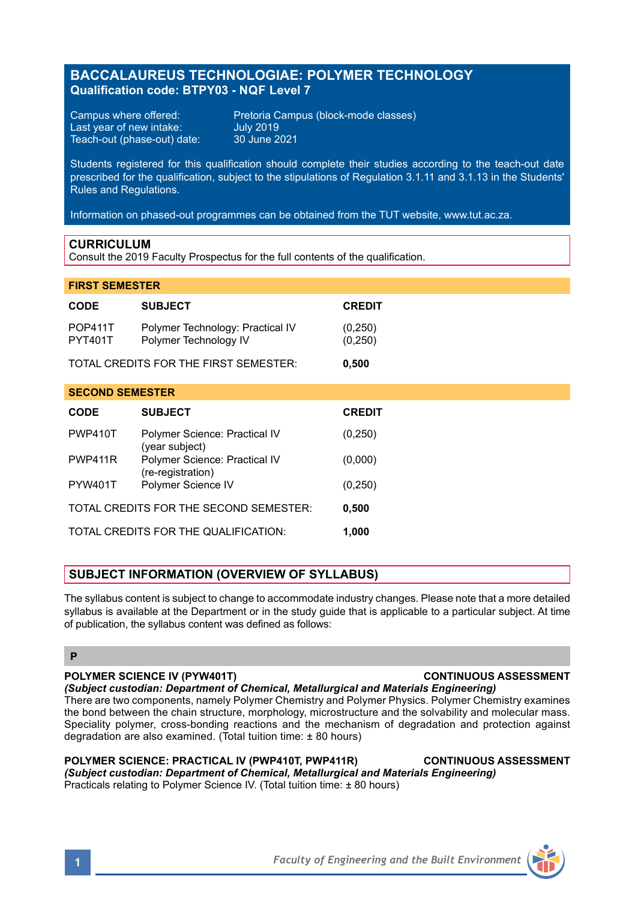# **BACCALAUREUS TECHNOLOGIAE: POLYMER TECHNOLOGY Qualification code: BTPY03 - NQF Level 7**

Last year of new intake: July 2019 Teach-out (phase-out) date:

Campus where offered: Pretoria Campus (block-mode classes)<br>Last year of new intake: July 2019

Students registered for this qualification should complete their studies according to the teach-out date prescribed for the qualification, subject to the stipulations of Regulation 3.1.11 and 3.1.13 in the Students' Rules and Regulations.

Information on phased-out programmes can be obtained from the TUT website, www.tut.ac.za.

### **CURRICULUM**

Consult the 2019 Faculty Prospectus for the full contents of the qualification.

# **FIRST SEMESTER**

| <b>CODE</b>                                     | <b>SUBJECT</b>                                            | <b>CREDIT</b>       |
|-------------------------------------------------|-----------------------------------------------------------|---------------------|
| <b>POP411T</b><br><b>PYT401T</b>                | Polymer Technology: Practical IV<br>Polymer Technology IV | (0,250)<br>(0, 250) |
| TOTAL CREDITS FOR THE FIRST SEMESTER:<br>0,500  |                                                           |                     |
| <b>SECOND SEMESTER</b>                          |                                                           |                     |
| <b>CODE</b>                                     | <b>SUBJECT</b>                                            | <b>CREDIT</b>       |
| <b>PWP410T</b>                                  | Polymer Science: Practical IV<br>(year subject)           | (0, 250)            |
| PWP411R                                         | Polymer Science: Practical IV<br>(re-registration)        | (0,000)             |
| <b>PYW401T</b>                                  | Polymer Science IV                                        | (0, 250)            |
| TOTAL CREDITS FOR THE SECOND SEMESTER:<br>0,500 |                                                           |                     |
|                                                 | TOTAL CREDITS FOR THE QUALIFICATION:                      | 1,000               |

### **SUBJECT INFORMATION (OVERVIEW OF SYLLABUS)**

The syllabus content is subject to change to accommodate industry changes. Please note that a more detailed syllabus is available at the Department or in the study quide that is applicable to a particular subject. At time of publication, the syllabus content was defined as follows:

### **P**

### **POLYMER SCIENCE IV (PYW401T) CONTINUOUS ASSESSMENT**

*(Subject custodian: Department of Chemical, Metallurgical and Materials Engineering)* There are two components, namely Polymer Chemistry and Polymer Physics. Polymer Chemistry examines the bond between the chain structure, morphology, microstructure and the solvability and molecular mass. Speciality polymer, cross-bonding reactions and the mechanism of degradation and protection against degradation are also examined. (Total tuition time: ± 80 hours)

**POLYMER SCIENCE: PRACTICAL IV (PWP410T, PWP411R) CONTINUOUS ASSESSMENT** *(Subject custodian: Department of Chemical, Metallurgical and Materials Engineering)* Practicals relating to Polymer Science IV. (Total tuition time: ± 80 hours)